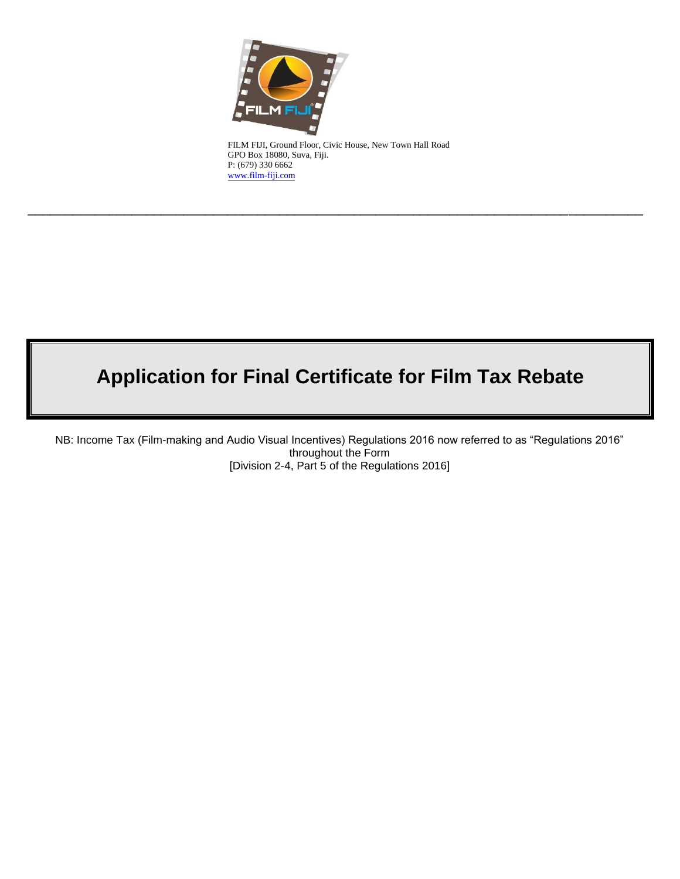

FILM FIJI, Ground Floor, Civic House, New Town Hall Road GPO Box 18080, Suva, Fiji. P: (679) 330 6662 [www.film-fiji.com](http://www.film-fiji.com/)

\_\_\_\_\_\_\_\_\_\_\_\_\_\_\_\_\_\_\_\_\_\_\_\_\_\_\_\_\_\_\_\_\_\_\_\_\_\_\_\_\_\_\_\_\_\_\_\_\_\_\_\_\_\_\_\_\_\_\_\_\_\_\_\_\_\_\_\_\_\_\_\_\_\_\_\_\_\_\_\_\_\_\_

# **Application for Final Certificate for Film Tax Rebate**

NB: Income Tax (Film-making and Audio Visual Incentives) Regulations 2016 now referred to as "Regulations 2016" throughout the Form [Division 2-4, Part 5 of the Regulations 2016]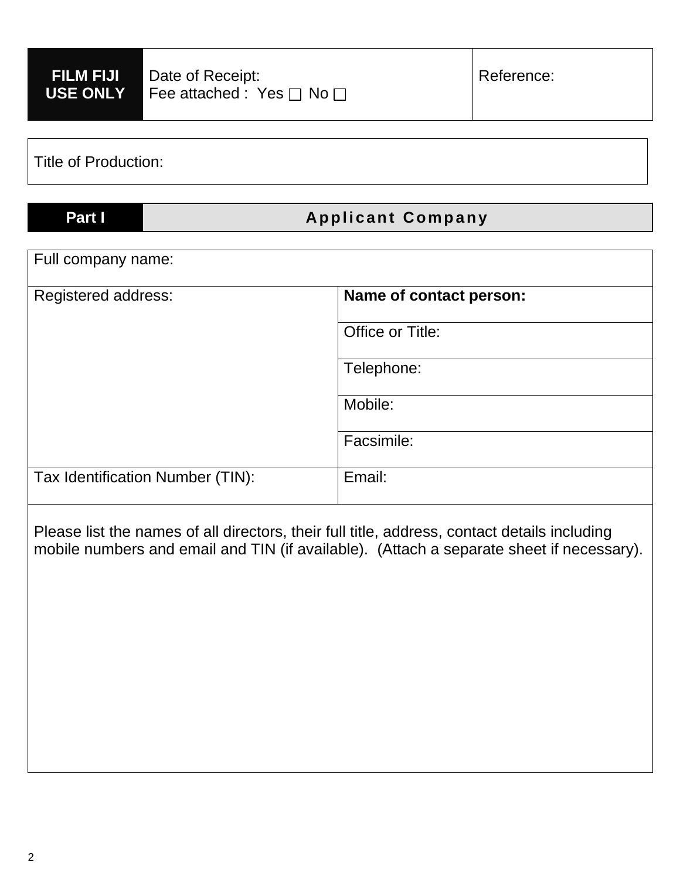| <b>FILM FIJI</b><br><b>USE ONLY</b> | Date of Receipt:<br>Fee attached : Yes $\square$ No $\square$ |                         | Reference: |  |
|-------------------------------------|---------------------------------------------------------------|-------------------------|------------|--|
| <b>Title of Production:</b>         |                                                               |                         |            |  |
| Part I                              | <b>Applicant Company</b>                                      |                         |            |  |
| Full company name:                  |                                                               |                         |            |  |
| <b>Registered address:</b>          |                                                               | Name of contact person: |            |  |
|                                     |                                                               | Office or Title:        |            |  |
|                                     |                                                               | Telephone:              |            |  |
|                                     |                                                               | Mobile:                 |            |  |
|                                     |                                                               | Facsimile:              |            |  |
| Tax Identification Number (TIN):    |                                                               | Email:                  |            |  |

Please list the names of all directors, their full title, address, contact details including mobile numbers and email and TIN (if available). (Attach a separate sheet if necessary).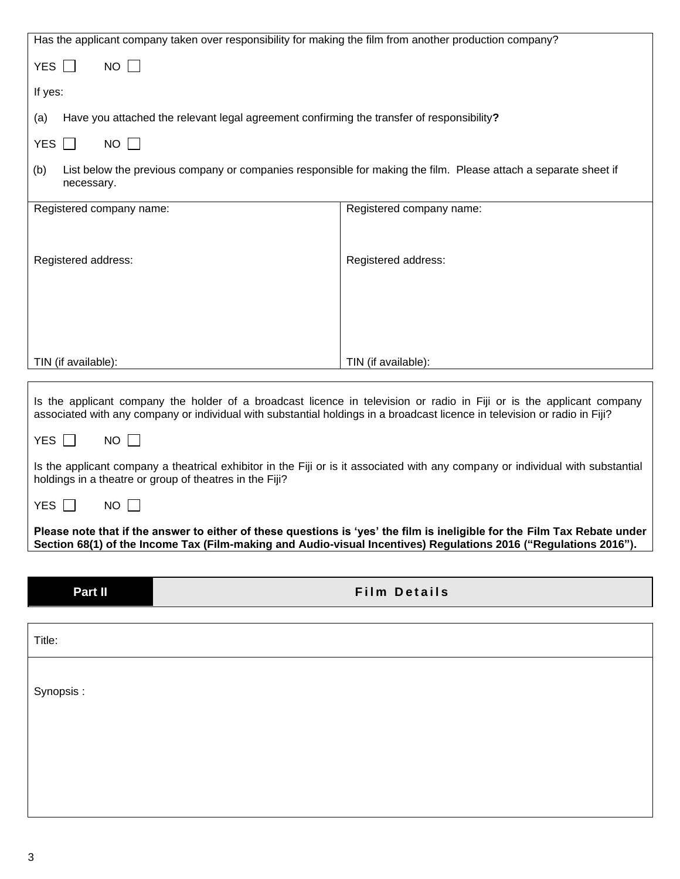| Has the applicant company taken over responsibility for making the film from another production company?                                                                                                                                            |                                                                                                                 |  |
|-----------------------------------------------------------------------------------------------------------------------------------------------------------------------------------------------------------------------------------------------------|-----------------------------------------------------------------------------------------------------------------|--|
| $NO$ $\Box$<br>YES $\Box$                                                                                                                                                                                                                           |                                                                                                                 |  |
| If yes:                                                                                                                                                                                                                                             |                                                                                                                 |  |
| Have you attached the relevant legal agreement confirming the transfer of responsibility?<br>(a)                                                                                                                                                    |                                                                                                                 |  |
| <b>YES</b><br>$NO$ $\Box$<br>$\mathbf{L}$                                                                                                                                                                                                           |                                                                                                                 |  |
| (b)<br>necessary.                                                                                                                                                                                                                                   | List below the previous company or companies responsible for making the film. Please attach a separate sheet if |  |
| Registered company name:                                                                                                                                                                                                                            | Registered company name:                                                                                        |  |
|                                                                                                                                                                                                                                                     |                                                                                                                 |  |
| Registered address:                                                                                                                                                                                                                                 | Registered address:                                                                                             |  |
|                                                                                                                                                                                                                                                     |                                                                                                                 |  |
|                                                                                                                                                                                                                                                     |                                                                                                                 |  |
|                                                                                                                                                                                                                                                     |                                                                                                                 |  |
| TIN (if available):                                                                                                                                                                                                                                 | TIN (if available):                                                                                             |  |
| Is the applicant company the holder of a broadcast licence in television or radio in Fiji or is the applicant company<br>associated with any company or individual with substantial holdings in a broadcast licence in television or radio in Fiji? |                                                                                                                 |  |
| $NO$ $\Box$<br>YES $\Box$                                                                                                                                                                                                                           |                                                                                                                 |  |
| Is the applicant company a theatrical exhibitor in the Fiji or is it associated with any company or individual with substantial<br>holdings in a theatre or group of theatres in the Fiji?                                                          |                                                                                                                 |  |
| <b>YES</b><br>NO.                                                                                                                                                                                                                                   |                                                                                                                 |  |
| Please note that if the answer to either of these questions is 'yes' the film is ineligible for the Film Tax Rebate under                                                                                                                           |                                                                                                                 |  |
| Section 68(1) of the Income Tax (Film-making and Audio-visual Incentives) Regulations 2016 ("Regulations 2016").                                                                                                                                    |                                                                                                                 |  |
| Part II                                                                                                                                                                                                                                             | <b>Film Details</b>                                                                                             |  |
|                                                                                                                                                                                                                                                     |                                                                                                                 |  |
| Title:                                                                                                                                                                                                                                              |                                                                                                                 |  |
|                                                                                                                                                                                                                                                     |                                                                                                                 |  |
| Synopsis:                                                                                                                                                                                                                                           |                                                                                                                 |  |
|                                                                                                                                                                                                                                                     |                                                                                                                 |  |
|                                                                                                                                                                                                                                                     |                                                                                                                 |  |
|                                                                                                                                                                                                                                                     |                                                                                                                 |  |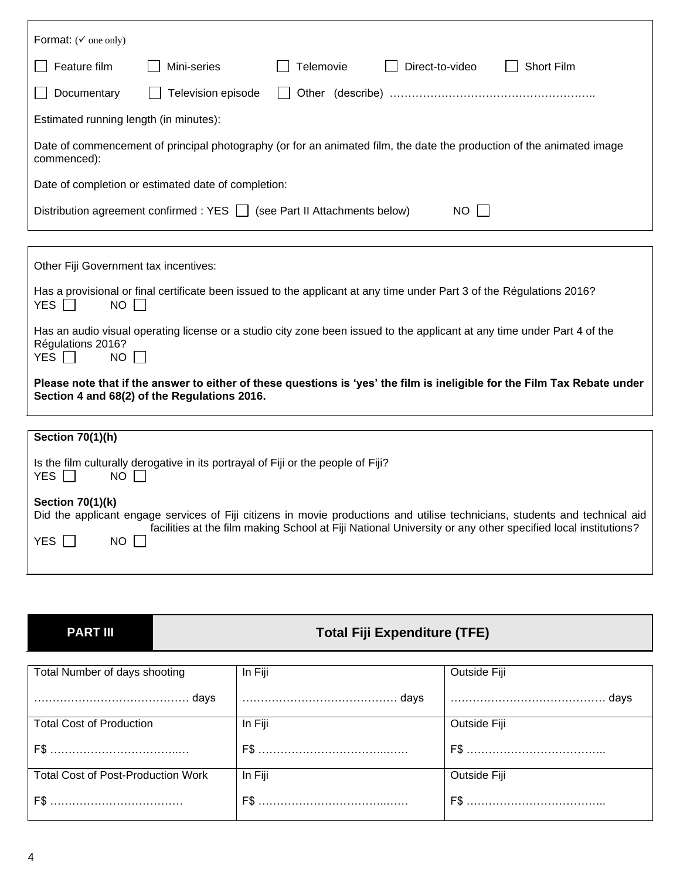| Format: $(\check{v})$ one only)                                                                                                                                                                                                                                                                  |  |  |  |
|--------------------------------------------------------------------------------------------------------------------------------------------------------------------------------------------------------------------------------------------------------------------------------------------------|--|--|--|
| Feature film<br>Telemovie<br>Direct-to-video<br><b>Short Film</b><br>Mini-series                                                                                                                                                                                                                 |  |  |  |
| Documentary<br>Television episode                                                                                                                                                                                                                                                                |  |  |  |
| Estimated running length (in minutes):                                                                                                                                                                                                                                                           |  |  |  |
| Date of commencement of principal photography (or for an animated film, the date the production of the animated image<br>commenced):                                                                                                                                                             |  |  |  |
| Date of completion or estimated date of completion:                                                                                                                                                                                                                                              |  |  |  |
| NO  <br>Distribution agreement confirmed : YES     (see Part II Attachments below)                                                                                                                                                                                                               |  |  |  |
|                                                                                                                                                                                                                                                                                                  |  |  |  |
| Other Fiji Government tax incentives:                                                                                                                                                                                                                                                            |  |  |  |
| Has a provisional or final certificate been issued to the applicant at any time under Part 3 of the Régulations 2016?<br>YES $\Box$<br><b>NO</b>                                                                                                                                                 |  |  |  |
| Has an audio visual operating license or a studio city zone been issued to the applicant at any time under Part 4 of the<br>Régulations 2016?<br>YES  <br>$\sim 10$<br><b>NO</b>                                                                                                                 |  |  |  |
| Please note that if the answer to either of these questions is 'yes' the film is ineligible for the Film Tax Rebate under<br>Section 4 and 68(2) of the Regulations 2016.                                                                                                                        |  |  |  |
|                                                                                                                                                                                                                                                                                                  |  |  |  |
| <b>Section 70(1)(h)</b>                                                                                                                                                                                                                                                                          |  |  |  |
| Is the film culturally derogative in its portrayal of Fiji or the people of Fiji?<br><b>YES</b><br>NO I                                                                                                                                                                                          |  |  |  |
| <b>Section 70(1)(k)</b><br>Did the applicant engage services of Fiji citizens in movie productions and utilise technicians, students and technical aid<br>facilities at the film making School at Fiji National University or any other specified local institutions?<br><b>YES</b><br><b>NO</b> |  |  |  |

## **PART III Total Fiji Expenditure (TFE)**

| Total Number of days shooting             | In Fiji | Outside Fiji        |
|-------------------------------------------|---------|---------------------|
|                                           |         | …………………………………… days |
| <b>Total Cost of Production</b>           | In Fiji | Outside Fiji        |
|                                           |         |                     |
| <b>Total Cost of Post-Production Work</b> | In Fiji | Outside Fiji        |
|                                           |         |                     |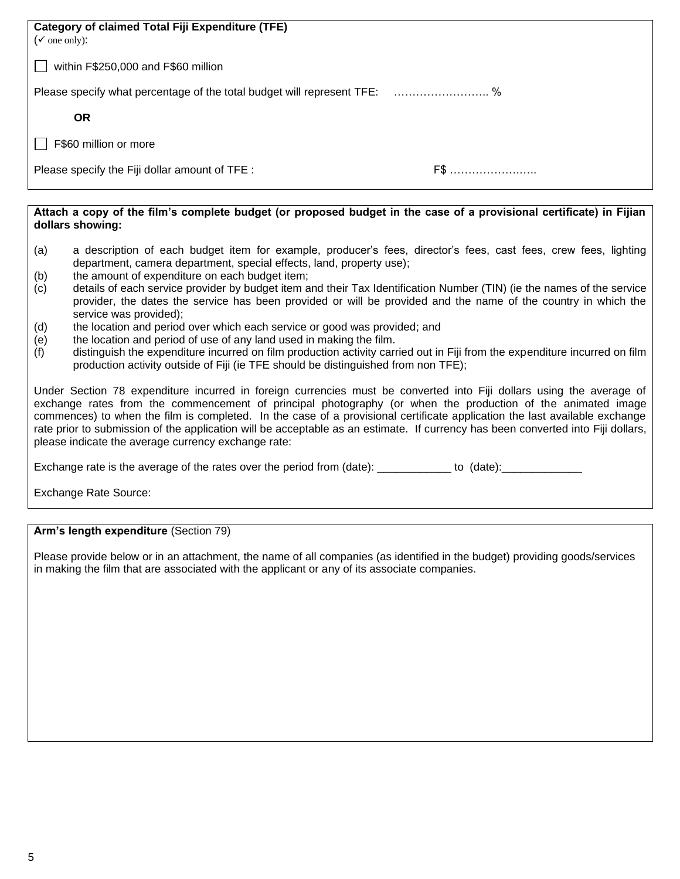| <b>Category of claimed Total Fiji Expenditure (TFE)</b><br>( $\checkmark$ one only): |     |  |
|--------------------------------------------------------------------------------------|-----|--|
| within F\$250,000 and F\$60 million                                                  |     |  |
| Please specify what percentage of the total budget will represent TFE:  %            |     |  |
| <b>OR</b>                                                                            |     |  |
| F\$60 million or more                                                                |     |  |
| Please specify the Fiji dollar amount of TFE :                                       | F\$ |  |

#### **Attach a copy of the film's complete budget (or proposed budget in the case of a provisional certificate) in Fijian dollars showing:**

- (a) a description of each budget item for example, producer's fees, director's fees, cast fees, crew fees, lighting department, camera department, special effects, land, property use);
- (b) the amount of expenditure on each budget item;
- (c) details of each service provider by budget item and their Tax Identification Number (TIN) (ie the names of the service provider, the dates the service has been provided or will be provided and the name of the country in which the service was provided);
- (d) the location and period over which each service or good was provided; and
- (e) the location and period of use of any land used in making the film.
- (f) distinguish the expenditure incurred on film production activity carried out in Fiji from the expenditure incurred on film production activity outside of Fiji (ie TFE should be distinguished from non TFE);

Under Section 78 expenditure incurred in foreign currencies must be converted into Fiji dollars using the average of exchange rates from the commencement of principal photography (or when the production of the animated image commences) to when the film is completed. In the case of a provisional certificate application the last available exchange rate prior to submission of the application will be acceptable as an estimate. If currency has been converted into Fiji dollars, please indicate the average currency exchange rate:

Exchange rate is the average of the rates over the period from (date): \_\_\_\_\_\_\_\_\_\_\_\_\_ to (date): \_\_\_\_\_\_\_\_\_\_\_\_\_\_

Exchange Rate Source:

**Arm's length expenditure** (Section 79)

Please provide below or in an attachment, the name of all companies (as identified in the budget) providing goods/services in making the film that are associated with the applicant or any of its associate companies.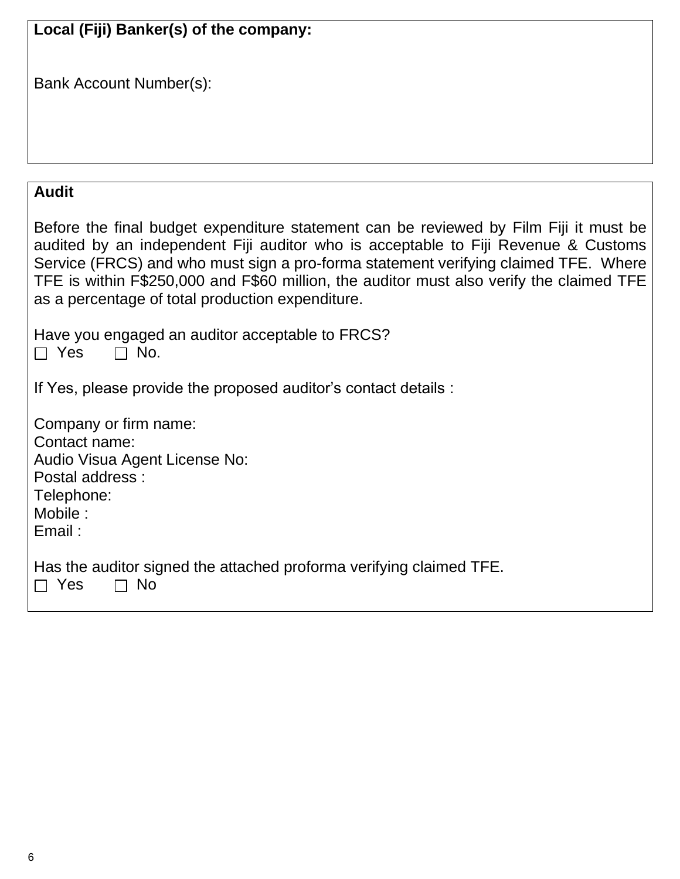| Local (Fiji) Banker(s) of the company:                                                                                                                                                                                                                                                                                                                                                                             |
|--------------------------------------------------------------------------------------------------------------------------------------------------------------------------------------------------------------------------------------------------------------------------------------------------------------------------------------------------------------------------------------------------------------------|
|                                                                                                                                                                                                                                                                                                                                                                                                                    |
| <b>Bank Account Number(s):</b>                                                                                                                                                                                                                                                                                                                                                                                     |
|                                                                                                                                                                                                                                                                                                                                                                                                                    |
|                                                                                                                                                                                                                                                                                                                                                                                                                    |
|                                                                                                                                                                                                                                                                                                                                                                                                                    |
|                                                                                                                                                                                                                                                                                                                                                                                                                    |
| <b>Audit</b>                                                                                                                                                                                                                                                                                                                                                                                                       |
| Before the final budget expenditure statement can be reviewed by Film Fiji it must be<br>audited by an independent Fiji auditor who is acceptable to Fiji Revenue & Customs<br>Service (FRCS) and who must sign a pro-forma statement verifying claimed TFE. Where<br>TFE is within F\$250,000 and F\$60 million, the auditor must also verify the claimed TFE<br>as a percentage of total production expenditure. |
| Have you engaged an auditor acceptable to FRCS?<br>$\Box$ Yes<br>No.<br>$\Box$                                                                                                                                                                                                                                                                                                                                     |
| If Yes, please provide the proposed auditor's contact details :                                                                                                                                                                                                                                                                                                                                                    |
| Company or firm name:<br>Contact name:<br>Audio Visua Agent License No:<br>Postal address:<br>Telephone:<br>Mobile:<br>Email:                                                                                                                                                                                                                                                                                      |
| Has the auditor signed the attached proforma verifying claimed TFE.<br>Yes<br><b>No</b>                                                                                                                                                                                                                                                                                                                            |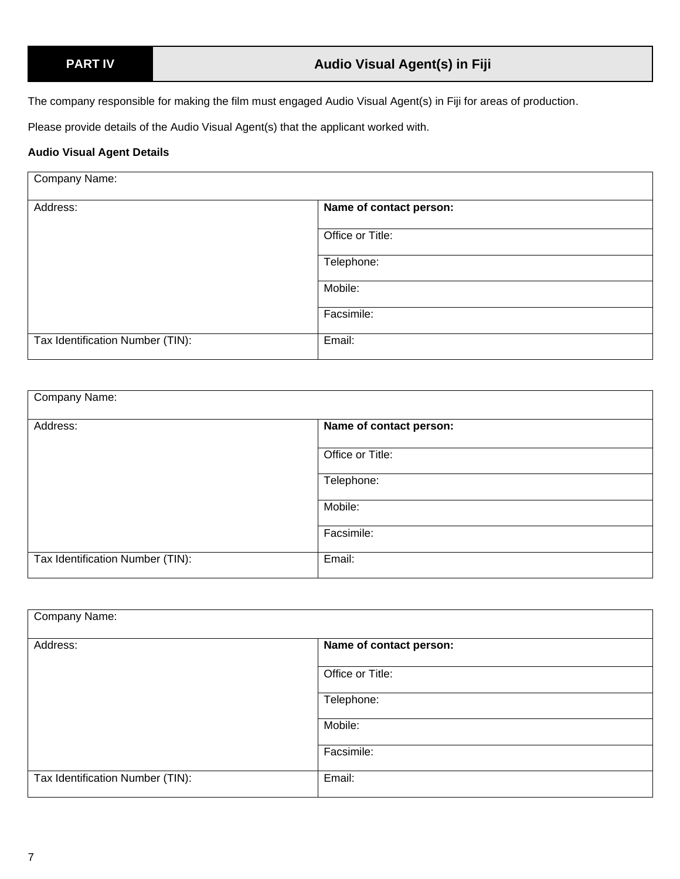The company responsible for making the film must engaged Audio Visual Agent(s) in Fiji for areas of production.

Please provide details of the Audio Visual Agent(s) that the applicant worked with.

### **Audio Visual Agent Details**

| Company Name:                    |                         |
|----------------------------------|-------------------------|
| Address:                         | Name of contact person: |
|                                  | Office or Title:        |
|                                  | Telephone:              |
|                                  | Mobile:                 |
|                                  | Facsimile:              |
| Tax Identification Number (TIN): | Email:                  |

| Company Name:                    |                         |
|----------------------------------|-------------------------|
| Address:                         | Name of contact person: |
|                                  | Office or Title:        |
|                                  | Telephone:              |
|                                  | Mobile:                 |
|                                  | Facsimile:              |
| Tax Identification Number (TIN): | Email:                  |

| Company Name:                    |                         |
|----------------------------------|-------------------------|
| Address:                         | Name of contact person: |
|                                  | Office or Title:        |
|                                  | Telephone:              |
|                                  | Mobile:                 |
|                                  | Facsimile:              |
| Tax Identification Number (TIN): | Email:                  |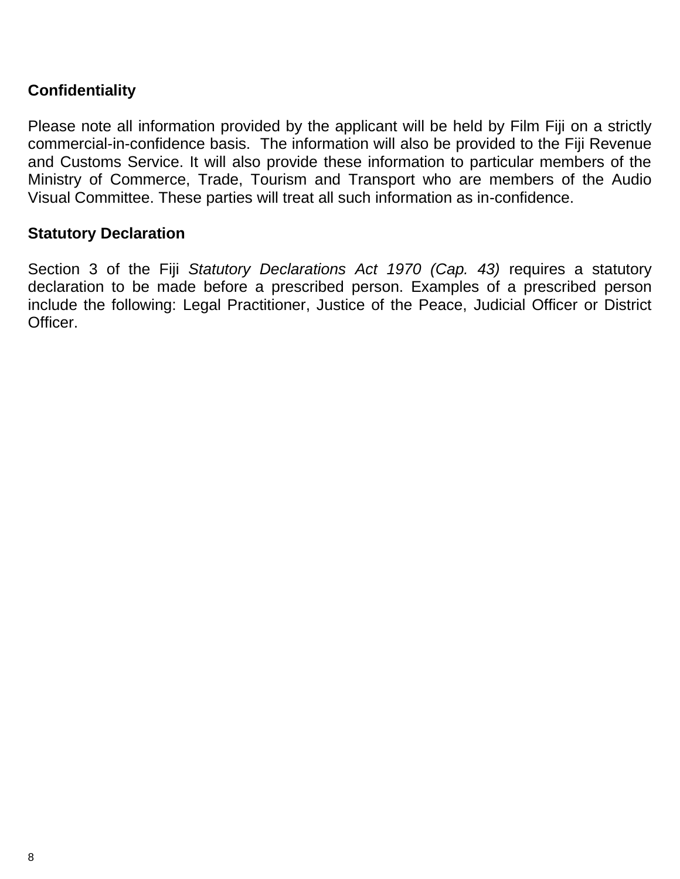## **Confidentiality**

Please note all information provided by the applicant will be held by Film Fiji on a strictly commercial-in-confidence basis. The information will also be provided to the Fiji Revenue and Customs Service. It will also provide these information to particular members of the Ministry of Commerce, Trade, Tourism and Transport who are members of the Audio Visual Committee. These parties will treat all such information as in-confidence.

## **Statutory Declaration**

Section 3 of the Fiji *Statutory Declarations Act 1970 (Cap. 43)* requires a statutory declaration to be made before a prescribed person. Examples of a prescribed person include the following: Legal Practitioner, Justice of the Peace, Judicial Officer or District Officer.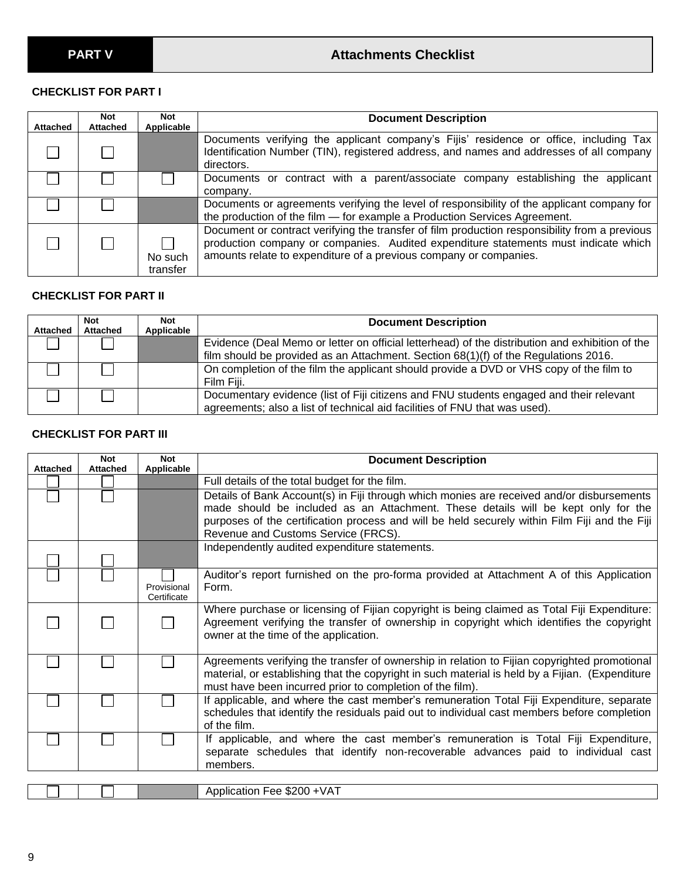## **CHECKLIST FOR PART I**

| <b>Attached</b> | Not<br><b>Attached</b> | Not<br>Applicable   | <b>Document Description</b>                                                                                                                                                                                                                               |
|-----------------|------------------------|---------------------|-----------------------------------------------------------------------------------------------------------------------------------------------------------------------------------------------------------------------------------------------------------|
|                 |                        |                     | Documents verifying the applicant company's Fijis' residence or office, including Tax<br>Identification Number (TIN), registered address, and names and addresses of all company<br>directors.                                                            |
|                 |                        |                     | Documents or contract with a parent/associate company<br>establishing<br>applicant<br>the<br>company.                                                                                                                                                     |
|                 |                        |                     | Documents or agreements verifying the level of responsibility of the applicant company for<br>the production of the film - for example a Production Services Agreement.                                                                                   |
|                 |                        | No such<br>transfer | Document or contract verifying the transfer of film production responsibility from a previous<br>production company or companies. Audited expenditure statements must indicate which<br>amounts relate to expenditure of a previous company or companies. |

## **CHECKLIST FOR PART II**

| <b>Attached</b> | <b>Not</b><br><b>Attached</b> | <b>Not</b><br>Applicable | <b>Document Description</b>                                                                                                                                                            |
|-----------------|-------------------------------|--------------------------|----------------------------------------------------------------------------------------------------------------------------------------------------------------------------------------|
|                 |                               |                          | Evidence (Deal Memo or letter on official letterhead) of the distribution and exhibition of the<br>film should be provided as an Attachment. Section 68(1)(f) of the Regulations 2016. |
|                 |                               |                          | On completion of the film the applicant should provide a DVD or VHS copy of the film to<br>Film Fiji.                                                                                  |
|                 |                               |                          | Documentary evidence (list of Fiji citizens and FNU students engaged and their relevant<br>agreements; also a list of technical aid facilities of FNU that was used).                  |

### **CHECKLIST FOR PART III**

| <b>Attached</b> | <b>Not</b><br><b>Attached</b> | <b>Not</b><br>Applicable   | <b>Document Description</b>                                                                                                                                                                                                                                                                                            |
|-----------------|-------------------------------|----------------------------|------------------------------------------------------------------------------------------------------------------------------------------------------------------------------------------------------------------------------------------------------------------------------------------------------------------------|
|                 |                               |                            | Full details of the total budget for the film.                                                                                                                                                                                                                                                                         |
|                 |                               |                            | Details of Bank Account(s) in Fiji through which monies are received and/or disbursements<br>made should be included as an Attachment. These details will be kept only for the<br>purposes of the certification process and will be held securely within Film Fiji and the Fiji<br>Revenue and Customs Service (FRCS). |
|                 |                               |                            | Independently audited expenditure statements.                                                                                                                                                                                                                                                                          |
|                 |                               | Provisional<br>Certificate | Auditor's report furnished on the pro-forma provided at Attachment A of this Application<br>Form.                                                                                                                                                                                                                      |
|                 |                               |                            | Where purchase or licensing of Fijian copyright is being claimed as Total Fiji Expenditure:<br>Agreement verifying the transfer of ownership in copyright which identifies the copyright<br>owner at the time of the application.                                                                                      |
|                 |                               |                            | Agreements verifying the transfer of ownership in relation to Fijian copyrighted promotional<br>material, or establishing that the copyright in such material is held by a Fijian. (Expenditure<br>must have been incurred prior to completion of the film).                                                           |
|                 |                               |                            | If applicable, and where the cast member's remuneration Total Fiji Expenditure, separate<br>schedules that identify the residuals paid out to individual cast members before completion<br>of the film.                                                                                                                |
|                 |                               |                            | If applicable, and where the cast member's remuneration is Total Fiji Expenditure,<br>separate schedules that identify non-recoverable advances paid to individual cast<br>members.                                                                                                                                    |
|                 |                               |                            |                                                                                                                                                                                                                                                                                                                        |
|                 |                               |                            | Application Fee \$200 +VAT                                                                                                                                                                                                                                                                                             |

|  | $\sim$ $\sim$ $\sim$<br>$\lambda$<br>,,,,<br>חור<br>- 11<br>ation<br>$\sim$<br>.uu<br>55<br>$\sqrt{ }$<br>. |
|--|-------------------------------------------------------------------------------------------------------------|
|  |                                                                                                             |